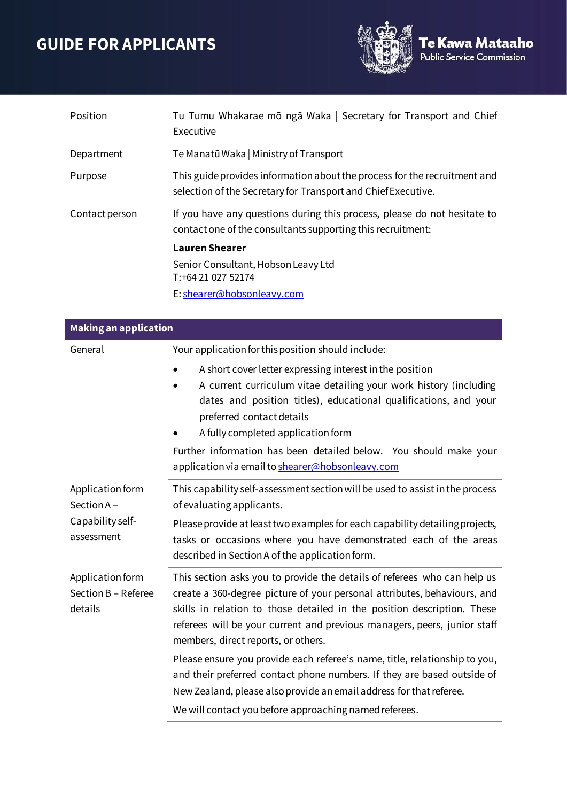## **GUIDE FOR APPLICANTS**



| Position       | Tu Tumu Whakarae mō ngā Waka   Secretary for Transport and Chief<br>Executive                                                              |
|----------------|--------------------------------------------------------------------------------------------------------------------------------------------|
| Department     | Te Manatū Waka   Ministry of Transport                                                                                                     |
| Purpose        | This guide provides information about the process for the recruitment and<br>selection of the Secretary for Transport and Chief Executive. |
| Contact person | If you have any questions during this process, please do not hesitate to<br>contact one of the consultants supporting this recruitment:    |
|                | <b>Lauren Shearer</b>                                                                                                                      |
|                | Senior Consultant, Hobson Leavy Ltd<br>T: +64 21 027 52174                                                                                 |
|                | E: shearer@hobsonleavy.com                                                                                                                 |

| <b>Making an application</b>                                     |                                                                                                                                                                                                                                                                                                                                                    |
|------------------------------------------------------------------|----------------------------------------------------------------------------------------------------------------------------------------------------------------------------------------------------------------------------------------------------------------------------------------------------------------------------------------------------|
| General                                                          | Your application for this position should include:                                                                                                                                                                                                                                                                                                 |
|                                                                  | A short cover letter expressing interest in the position<br>A current curriculum vitae detailing your work history (including<br>dates and position titles), educational qualifications, and your<br>preferred contact details<br>A fully completed application form                                                                               |
|                                                                  | Further information has been detailed below. You should make your<br>application via email to shearer@hobsonleavy.com                                                                                                                                                                                                                              |
| Application form<br>Section A-<br>Capability self-<br>assessment | This capability self-assessment section will be used to assist in the process<br>of evaluating applicants.                                                                                                                                                                                                                                         |
|                                                                  | Please provide at least two examples for each capability detailing projects,<br>tasks or occasions where you have demonstrated each of the areas<br>described in Section A of the application form.                                                                                                                                                |
| Application form<br>Section B - Referee<br>details               | This section asks you to provide the details of referees who can help us<br>create a 360-degree picture of your personal attributes, behaviours, and<br>skills in relation to those detailed in the position description. These<br>referees will be your current and previous managers, peers, junior staff<br>members, direct reports, or others. |
|                                                                  | Please ensure you provide each referee's name, title, relationship to you,<br>and their preferred contact phone numbers. If they are based outside of<br>New Zealand, please also provide an email address for that referee.                                                                                                                       |
|                                                                  | We will contact you before approaching named referees.                                                                                                                                                                                                                                                                                             |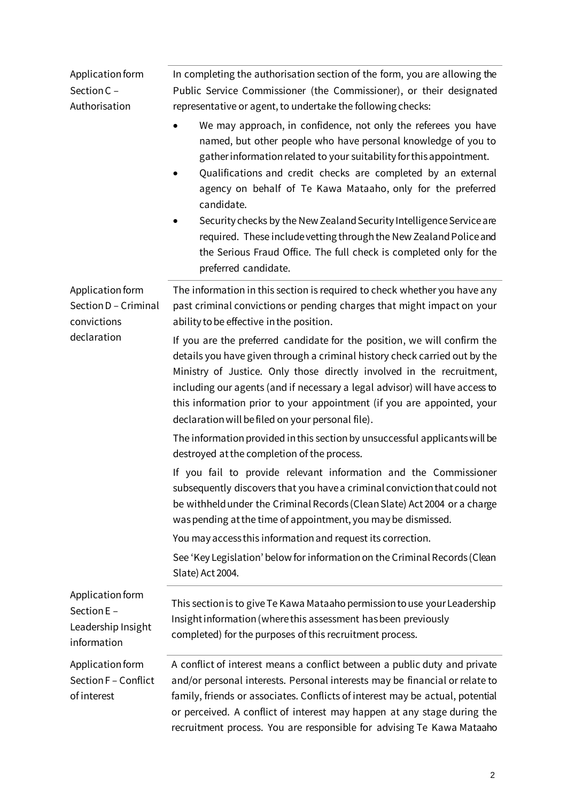| Application form<br>Section C -<br>Authorisation                       | In completing the authorisation section of the form, you are allowing the<br>Public Service Commissioner (the Commissioner), or their designated<br>representative or agent, to undertake the following checks:<br>We may approach, in confidence, not only the referees you have<br>named, but other people who have personal knowledge of you to<br>gather information related to your suitability for this appointment.<br>Qualifications and credit checks are completed by an external<br>agency on behalf of Te Kawa Mataaho, only for the preferred<br>candidate.<br>Security checks by the New Zealand Security Intelligence Service are<br>required. These include vetting through the New Zealand Police and<br>the Serious Fraud Office. The full check is completed only for the<br>preferred candidate. |
|------------------------------------------------------------------------|----------------------------------------------------------------------------------------------------------------------------------------------------------------------------------------------------------------------------------------------------------------------------------------------------------------------------------------------------------------------------------------------------------------------------------------------------------------------------------------------------------------------------------------------------------------------------------------------------------------------------------------------------------------------------------------------------------------------------------------------------------------------------------------------------------------------|
| Application form<br>Section D - Criminal<br>convictions<br>declaration | The information in this section is required to check whether you have any<br>past criminal convictions or pending charges that might impact on your<br>ability to be effective in the position.                                                                                                                                                                                                                                                                                                                                                                                                                                                                                                                                                                                                                      |
|                                                                        | If you are the preferred candidate for the position, we will confirm the<br>details you have given through a criminal history check carried out by the<br>Ministry of Justice. Only those directly involved in the recruitment,<br>including our agents (and if necessary a legal advisor) will have access to<br>this information prior to your appointment (if you are appointed, your<br>declaration will be filed on your personal file).                                                                                                                                                                                                                                                                                                                                                                        |
|                                                                        | The information provided in this section by unsuccessful applicants will be<br>destroyed at the completion of the process.                                                                                                                                                                                                                                                                                                                                                                                                                                                                                                                                                                                                                                                                                           |
|                                                                        | If you fail to provide relevant information and the Commissioner<br>subsequently discovers that you have a criminal conviction that could not<br>be withheld under the Criminal Records (Clean Slate) Act 2004 or a charge<br>was pending at the time of appointment, you may be dismissed.                                                                                                                                                                                                                                                                                                                                                                                                                                                                                                                          |
|                                                                        | You may access this information and request its correction.<br>See 'Key Legislation' below for information on the Criminal Records (Clean<br>Slate) Act 2004.                                                                                                                                                                                                                                                                                                                                                                                                                                                                                                                                                                                                                                                        |
| Application form<br>Section E -<br>Leadership Insight<br>information   | This section is to give Te Kawa Mataaho permission to use your Leadership<br>Insight information (where this assessment has been previously<br>completed) for the purposes of this recruitment process.                                                                                                                                                                                                                                                                                                                                                                                                                                                                                                                                                                                                              |
| Application form<br>Section F - Conflict<br>of interest                | A conflict of interest means a conflict between a public duty and private<br>and/or personal interests. Personal interests may be financial or relate to<br>family, friends or associates. Conflicts of interest may be actual, potential<br>or perceived. A conflict of interest may happen at any stage during the<br>recruitment process. You are responsible for advising Te Kawa Mataaho                                                                                                                                                                                                                                                                                                                                                                                                                        |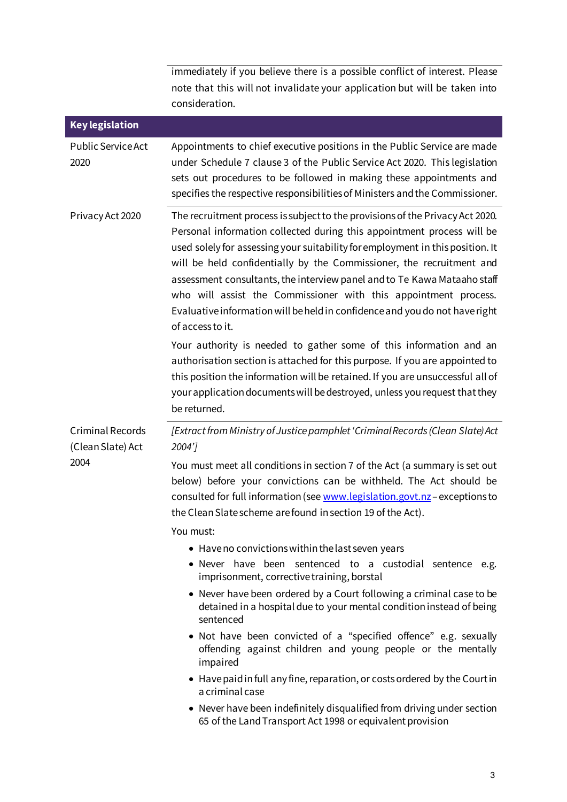immediately if you believe there is a possible conflict of interest. Please note that this will not invalidate your application but will be taken into consideration.

Ī

| <b>Key legislation</b>                               |                                                                                                                                                                                                                                                                                                                                                                                                                                                                                                                                                                     |
|------------------------------------------------------|---------------------------------------------------------------------------------------------------------------------------------------------------------------------------------------------------------------------------------------------------------------------------------------------------------------------------------------------------------------------------------------------------------------------------------------------------------------------------------------------------------------------------------------------------------------------|
| <b>Public Service Act</b><br>2020                    | Appointments to chief executive positions in the Public Service are made<br>under Schedule 7 clause 3 of the Public Service Act 2020. This legislation<br>sets out procedures to be followed in making these appointments and<br>specifies the respective responsibilities of Ministers and the Commissioner.                                                                                                                                                                                                                                                       |
| Privacy Act 2020                                     | The recruitment process is subject to the provisions of the Privacy Act 2020.<br>Personal information collected during this appointment process will be<br>used solely for assessing your suitability for employment in this position. It<br>will be held confidentially by the Commissioner, the recruitment and<br>assessment consultants, the interview panel and to Te Kawa Mataaho staff<br>who will assist the Commissioner with this appointment process.<br>Evaluative information will be held in confidence and you do not have right<br>of access to it. |
|                                                      | Your authority is needed to gather some of this information and an<br>authorisation section is attached for this purpose. If you are appointed to<br>this position the information will be retained. If you are unsuccessful all of<br>your application documents will be destroyed, unless you request that they<br>be returned.                                                                                                                                                                                                                                   |
| <b>Criminal Records</b><br>(Clean Slate) Act<br>2004 | [Extract from Ministry of Justice pamphlet 'Criminal Records (Clean Slate) Act<br>2004']                                                                                                                                                                                                                                                                                                                                                                                                                                                                            |
|                                                      | You must meet all conditions in section 7 of the Act (a summary is set out<br>below) before your convictions can be withheld. The Act should be<br>consulted for full information (see www.legislation.govt.nz-exceptions to<br>the Clean Slate scheme are found in section 19 of the Act).                                                                                                                                                                                                                                                                         |
|                                                      | You must:                                                                                                                                                                                                                                                                                                                                                                                                                                                                                                                                                           |
|                                                      | • Have no convictions within the last seven years<br>• Never have been sentenced to a custodial sentence e.g.<br>imprisonment, corrective training, borstal                                                                                                                                                                                                                                                                                                                                                                                                         |
|                                                      | • Never have been ordered by a Court following a criminal case to be<br>detained in a hospital due to your mental condition instead of being<br>sentenced                                                                                                                                                                                                                                                                                                                                                                                                           |
|                                                      | • Not have been convicted of a "specified offence" e.g. sexually<br>offending against children and young people or the mentally<br>impaired                                                                                                                                                                                                                                                                                                                                                                                                                         |
|                                                      | • Have paid in full any fine, reparation, or costs ordered by the Court in<br>a criminal case                                                                                                                                                                                                                                                                                                                                                                                                                                                                       |
|                                                      | • Never have been indefinitely disqualified from driving under section<br>65 of the Land Transport Act 1998 or equivalent provision                                                                                                                                                                                                                                                                                                                                                                                                                                 |